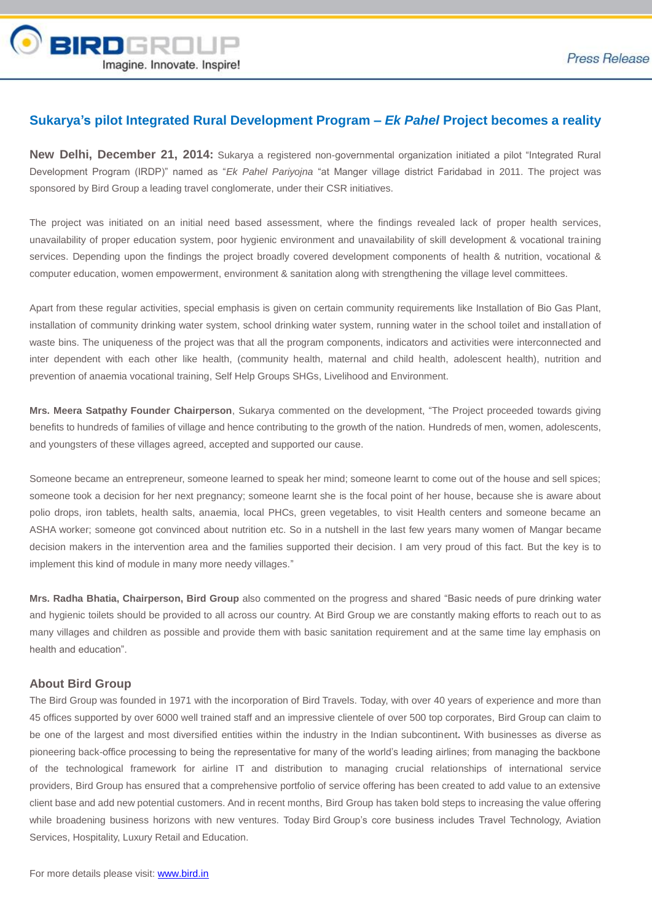

# **Sukarya's pilot Integrated Rural Development Program –** *Ek Pahel* **Project becomes a reality**

**New Delhi, December 21, 2014:** Sukarya a registered non-governmental organization initiated a pilot "Integrated Rural Development Program (IRDP)" named as "*Ek Pahel Pariyojna* "at Manger village district Faridabad in 2011. The project was sponsored by Bird Group a leading travel conglomerate, under their CSR initiatives.

The project was initiated on an initial need based assessment, where the findings revealed lack of proper health services, unavailability of proper education system, poor hygienic environment and unavailability of skill development & vocational training services. Depending upon the findings the project broadly covered development components of health & nutrition, vocational & computer education, women empowerment, environment & sanitation along with strengthening the village level committees.

Apart from these regular activities, special emphasis is given on certain community requirements like Installation of Bio Gas Plant, installation of community drinking water system, school drinking water system, running water in the school toilet and installation of waste bins. The uniqueness of the project was that all the program components, indicators and activities were interconnected and inter dependent with each other like health, (community health, maternal and child health, adolescent health), nutrition and prevention of anaemia vocational training, Self Help Groups SHGs, Livelihood and Environment.

**Mrs. Meera Satpathy Founder Chairperson**, Sukarya commented on the development, "The Project proceeded towards giving benefits to hundreds of families of village and hence contributing to the growth of the nation. Hundreds of men, women, adolescents, and youngsters of these villages agreed, accepted and supported our cause.

Someone became an entrepreneur, someone learned to speak her mind; someone learnt to come out of the house and sell spices; someone took a decision for her next pregnancy; someone learnt she is the focal point of her house, because she is aware about polio drops, iron tablets, health salts, anaemia, local PHCs, green vegetables, to visit Health centers and someone became an ASHA worker; someone got convinced about nutrition etc. So in a nutshell in the last few years many women of Mangar became decision makers in the intervention area and the families supported their decision. I am very proud of this fact. But the key is to implement this kind of module in many more needy villages."

**Mrs. Radha Bhatia, Chairperson, Bird Group** also commented on the progress and shared "Basic needs of pure drinking water and hygienic toilets should be provided to all across our country. At Bird Group we are constantly making efforts to reach out to as many villages and children as possible and provide them with basic sanitation requirement and at the same time lay emphasis on health and education".

## **About Bird Group**

The Bird Group was founded in 1971 with the incorporation of Bird Travels. Today, with over 40 years of experience and more than 45 offices supported by over 6000 well trained staff and an impressive clientele of over 500 top corporates, Bird Group can claim to be one of the largest and most diversified entities within the industry in the Indian subcontinent**.** With businesses as diverse as pioneering back-office processing to being the representative for many of the world's leading airlines; from managing the backbone of the technological framework for airline IT and distribution to managing crucial relationships of international service providers, Bird Group has ensured that a comprehensive portfolio of service offering has been created to add value to an extensive client base and add new potential customers. And in recent months, Bird Group has taken bold steps to increasing the value offering while broadening business horizons with new ventures. Today Bird Group's core business includes Travel Technology, Aviation Services, Hospitality, Luxury Retail and Education.